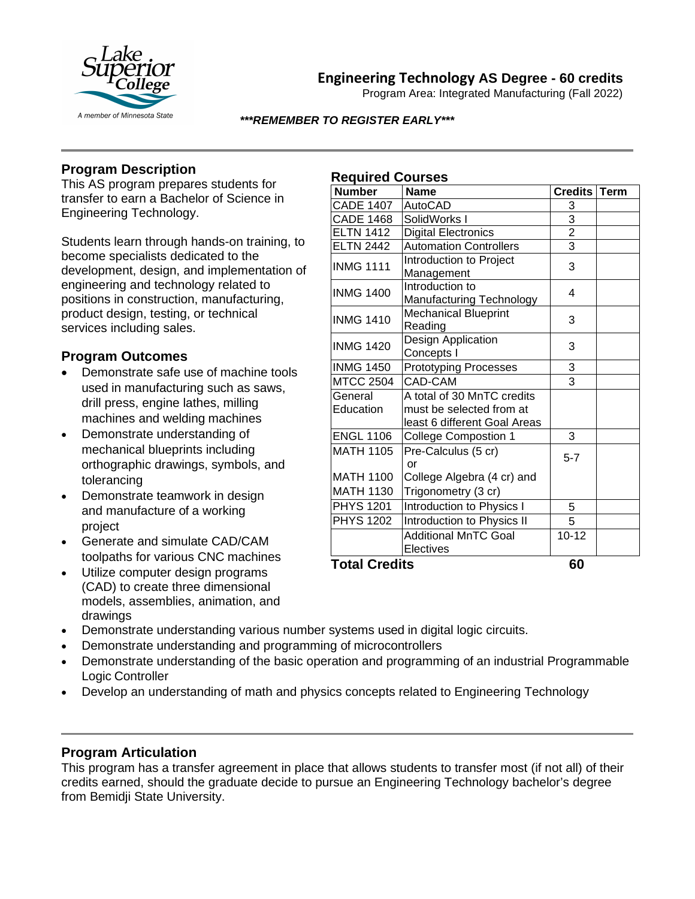

**Engineering Technology AS Degree - 60 credits**

Program Area: Integrated Manufacturing (Fall 2022)

#### *\*\*\*REMEMBER TO REGISTER EARLY\*\*\**

## **Program Description**

This AS program prepares students for transfer to earn a Bachelor of Science in Engineering Technology.

Students learn through hands-on training, to become specialists dedicated to the development, design, and implementation of engineering and technology related to positions in construction, manufacturing, product design, testing, or technical services including sales.

### **Program Outcomes**

- Demonstrate safe use of machine tools used in manufacturing such as saws, drill press, engine lathes, milling machines and welding machines
- Demonstrate understanding of mechanical blueprints including orthographic drawings, symbols, and tolerancing
- Demonstrate teamwork in design and manufacture of a working project
- Generate and simulate CAD/CAM toolpaths for various CNC machines
- Utilize computer design programs (CAD) to create three dimensional models, assemblies, animation, and drawings

### **Required Courses**

| nuyun uu wuu sus     |                                                    |                |             |
|----------------------|----------------------------------------------------|----------------|-------------|
| <b>Number</b>        | <b>Name</b>                                        | <b>Credits</b> | <b>Term</b> |
| CADE 1407            | AutoCAD                                            | 3              |             |
| <b>CADE 1468</b>     | SolidWorks I                                       | $\frac{3}{2}$  |             |
| <b>ELTN 1412</b>     | <b>Digital Electronics</b>                         |                |             |
| <b>ELTN 2442</b>     | <b>Automation Controllers</b>                      | $\overline{3}$ |             |
| <b>INMG 1111</b>     | Introduction to Project                            | 3              |             |
|                      | Management                                         |                |             |
| <b>INMG 1400</b>     | Introduction to<br><b>Manufacturing Technology</b> | 4              |             |
| <b>INMG 1410</b>     | <b>Mechanical Blueprint</b><br>Reading             | 3              |             |
| <b>INMG 1420</b>     | Design Application<br>Concepts I                   | 3              |             |
| <b>INMG 1450</b>     | <b>Prototyping Processes</b>                       | 3              |             |
| <b>MTCC 2504</b>     | CAD-CAM                                            | 3              |             |
| General              | A total of 30 MnTC credits                         |                |             |
| Education            | must be selected from at                           |                |             |
|                      | least 6 different Goal Areas                       |                |             |
| <b>ENGL 1106</b>     | <b>College Compostion 1</b>                        | 3              |             |
| <b>MATH 1105</b>     | Pre-Calculus (5 cr)<br>Ωr                          | $5 - 7$        |             |
| <b>MATH 1100</b>     | College Algebra (4 cr) and                         |                |             |
| <b>MATH 1130</b>     | Trigonometry (3 cr)                                |                |             |
| <b>PHYS 1201</b>     | Introduction to Physics I                          | 5              |             |
| <b>PHYS 1202</b>     | Introduction to Physics II                         | 5              |             |
|                      | <b>Additional MnTC Goal</b><br>Electives           | $10 - 12$      |             |
| <b>Total Cradits</b> |                                                    | 6በ             |             |

**Total Credits 60**

- Demonstrate understanding various number systems used in digital logic circuits.
- Demonstrate understanding and programming of microcontrollers
- Demonstrate understanding of the basic operation and programming of an industrial Programmable Logic Controller
- Develop an understanding of math and physics concepts related to Engineering Technology

## **Program Articulation**

This program has a transfer agreement in place that allows students to transfer most (if not all) of their credits earned, should the graduate decide to pursue an Engineering Technology bachelor's degree from Bemidji State University.